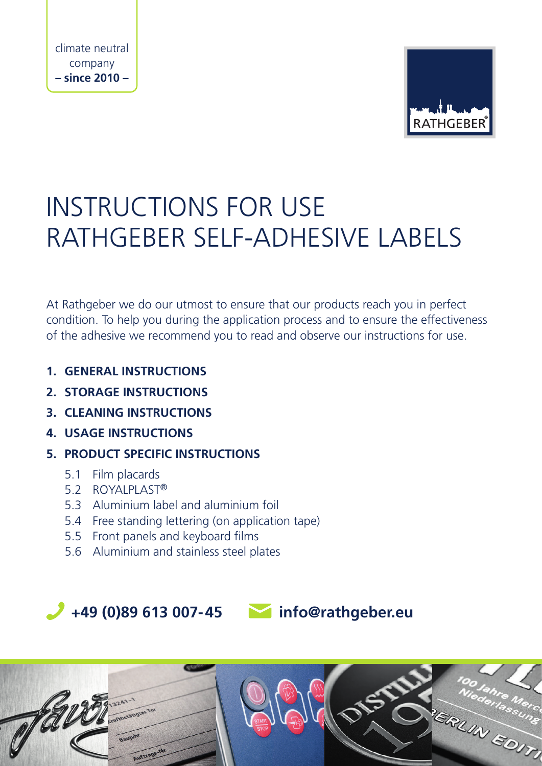

# INSTRUCTIONS FOR USE RATHGEBER SELF-ADHESIVE LABELS

At Rathgeber we do our utmost to ensure that our products reach you in perfect condition. To help you during the application process and to ensure the effectiveness of the adhesive we recommend you to read and observe our instructions for use.

- **1. GENERAL INSTRUCTIONS**
- **2. STORAGE INSTRUCTIONS**
- **3. CLEANING INSTRUCTIONS**
- **4. USAGE INSTRUCTIONS**
- **5. PRODUCT SPECIFIC INSTRUCTIONS**
	- 5.1 Film placards
	- 5.2 ROYALPLAST®
	- 5.3 Aluminium label and aluminium foil
	- 5.4 Free standing lettering (on application tape)
	- 5.5 Front panels and keyboard films
	- 5.6 Aluminium and stainless steel plates

 **+49 (0)89 613 007-45 info@rathgeber.eu**

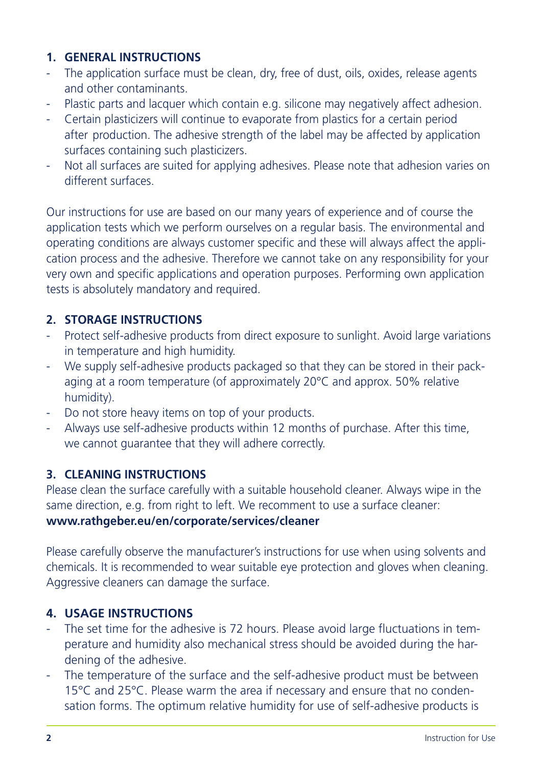# **1. GENERAL INSTRUCTIONS**

- The application surface must be clean, dry, free of dust, oils, oxides, release agents and other contaminants.
- Plastic parts and lacquer which contain e.g. silicone may negatively affect adhesion.
- Certain plasticizers will continue to evaporate from plastics for a certain period after production. The adhesive strength of the label may be affected by application surfaces containing such plasticizers.
- Not all surfaces are suited for applying adhesives. Please note that adhesion varies on different surfaces.

Our instructions for use are based on our many years of experience and of course the application tests which we perform ourselves on a regular basis. The environmental and operating conditions are always customer specific and these will always affect the application process and the adhesive. Therefore we cannot take on any responsibility for your very own and specific applications and operation purposes. Performing own application tests is absolutely mandatory and required.

### **2. STORAGE INSTRUCTIONS**

- Protect self-adhesive products from direct exposure to sunlight. Avoid large variations in temperature and high humidity.
- We supply self-adhesive products packaged so that they can be stored in their packaging at a room temperature (of approximately 20°C and approx. 50% relative humidity).
- Do not store heavy items on top of your products.
- Always use self-adhesive products within 12 months of purchase. After this time, we cannot guarantee that they will adhere correctly.

### **3. CLEANING INSTRUCTIONS**

Please clean the surface carefully with a suitable household cleaner. Always wipe in the same direction, e.g. from right to left. We recomment to use a surface cleaner: **www.rathgeber.eu/en/corporate/services/cleaner**

Please carefully observe the manufacturer's instructions for use when using solvents and chemicals. It is recommended to wear suitable eye protection and gloves when cleaning. Aggressive cleaners can damage the surface.

### **4. USAGE INSTRUCTIONS**

- The set time for the adhesive is 72 hours. Please avoid large fluctuations in temperature and humidity also mechanical stress should be avoided during the hardening of the adhesive.
- The temperature of the surface and the self-adhesive product must be between 15°C and 25°C. Please warm the area if necessary and ensure that no condensation forms. The optimum relative humidity for use of self-adhesive products is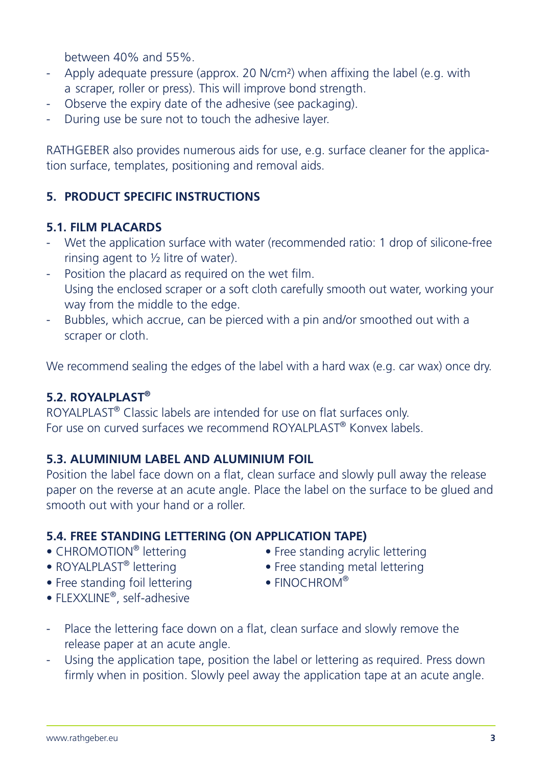between 40% and 55%.

- Apply adequate pressure (approx. 20 N/cm²) when affixing the label (e.g. with a scraper, roller or press). This will improve bond strength.
- Observe the expiry date of the adhesive (see packaging).
- During use be sure not to touch the adhesive layer.

RATHGEBER also provides numerous aids for use, e.g. surface cleaner for the application surface, templates, positioning and removal aids.

# **5. PRODUCT SPECIFIC INSTRUCTIONS**

#### **5.1. FILM PLACARDS**

- Wet the application surface with water (recommended ratio: 1 drop of silicone-free rinsing agent to  $\frac{1}{2}$  litre of water).
- Position the placard as required on the wet film. Using the enclosed scraper or a soft cloth carefully smooth out water, working your way from the middle to the edge.
- Bubbles, which accrue, can be pierced with a pin and/or smoothed out with a scraper or cloth.

We recommend sealing the edges of the label with a hard wax (e.g. car wax) once dry.

#### **5.2. ROYALPLAST®**

ROYALPLAST® Classic labels are intended for use on flat surfaces only. For use on curved surfaces we recommend ROYALPLAST® Konvex labels.

### **5.3. ALUMINIUM LABEL AND ALUMINIUM FOIL**

Position the label face down on a flat, clean surface and slowly pull away the release paper on the reverse at an acute angle. Place the label on the surface to be glued and smooth out with your hand or a roller.

# **5.4. FREE STANDING LETTERING (ON APPLICATION TAPE)**<br>• CHROMOTION® lettering **changes** • Free standing acry

- 
- 
- Free standing foil lettering
- FLEXXLINE®, self-adhesive
- CHROMOTION<sup>®</sup> lettering Free standing acrylic lettering<br>• ROYALPLAST<sup>®</sup> lettering Free standing metal lettering
	- Free standing metal lettering<br>• FINOCHROM®
	-
- Place the lettering face down on a flat, clean surface and slowly remove the release paper at an acute angle.
- Using the application tape, position the label or lettering as required. Press down firmly when in position. Slowly peel away the application tape at an acute angle.